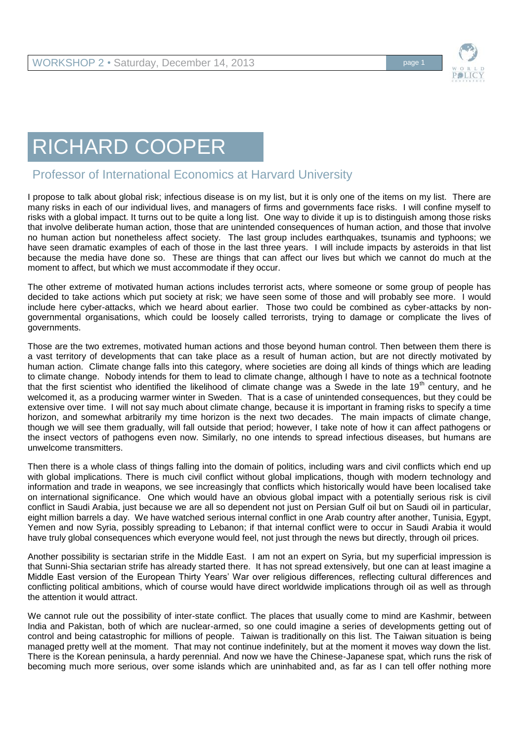

## RICHARD COOPER

## Professor of International Economics at Harvard University

I propose to talk about global risk; infectious disease is on my list, but it is only one of the items on my list. There are many risks in each of our individual lives, and managers of firms and governments face risks. I will confine myself to risks with a global impact. It turns out to be quite a long list. One way to divide it up is to distinguish among those risks that involve deliberate human action, those that are unintended consequences of human action, and those that involve no human action but nonetheless affect society. The last group includes earthquakes, tsunamis and typhoons; we have seen dramatic examples of each of those in the last three years. I will include impacts by asteroids in that list because the media have done so. These are things that can affect our lives but which we cannot do much at the moment to affect, but which we must accommodate if they occur.

The other extreme of motivated human actions includes terrorist acts, where someone or some group of people has decided to take actions which put society at risk; we have seen some of those and will probably see more. I would include here cyber-attacks, which we heard about earlier. Those two could be combined as cyber-attacks by nongovernmental organisations, which could be loosely called terrorists, trying to damage or complicate the lives of governments.

Those are the two extremes, motivated human actions and those beyond human control. Then between them there is a vast territory of developments that can take place as a result of human action, but are not directly motivated by human action. Climate change falls into this category, where societies are doing all kinds of things which are leading to climate change. Nobody intends for them to lead to climate change, although I have to note as a technical footnote that the first scientist who identified the likelihood of climate change was a Swede in the late 19<sup>th</sup> century, and he welcomed it, as a producing warmer winter in Sweden. That is a case of unintended consequences, but they could be extensive over time. I will not say much about climate change, because it is important in framing risks to specify a time horizon, and somewhat arbitrarily my time horizon is the next two decades. The main impacts of climate change, though we will see them gradually, will fall outside that period; however, I take note of how it can affect pathogens or the insect vectors of pathogens even now. Similarly, no one intends to spread infectious diseases, but humans are unwelcome transmitters.

Then there is a whole class of things falling into the domain of politics, including wars and civil conflicts which end up with global implications. There is much civil conflict without global implications, though with modern technology and information and trade in weapons, we see increasingly that conflicts which historically would have been localised take on international significance. One which would have an obvious global impact with a potentially serious risk is civil conflict in Saudi Arabia, just because we are all so dependent not just on Persian Gulf oil but on Saudi oil in particular, eight million barrels a day. We have watched serious internal conflict in one Arab country after another, Tunisia, Egypt, Yemen and now Syria, possibly spreading to Lebanon; if that internal conflict were to occur in Saudi Arabia it would have truly global consequences which everyone would feel, not just through the news but directly, through oil prices.

Another possibility is sectarian strife in the Middle East. I am not an expert on Syria, but my superficial impression is that Sunni-Shia sectarian strife has already started there. It has not spread extensively, but one can at least imagine a Middle East version of the European Thirty Years' War over religious differences, reflecting cultural differences and conflicting political ambitions, which of course would have direct worldwide implications through oil as well as through the attention it would attract.

We cannot rule out the possibility of inter-state conflict. The places that usually come to mind are Kashmir, between India and Pakistan, both of which are nuclear-armed, so one could imagine a series of developments getting out of control and being catastrophic for millions of people. Taiwan is traditionally on this list. The Taiwan situation is being managed pretty well at the moment. That may not continue indefinitely, but at the moment it moves way down the list. There is the Korean peninsula, a hardy perennial. And now we have the Chinese-Japanese spat, which runs the risk of becoming much more serious, over some islands which are uninhabited and, as far as I can tell offer nothing more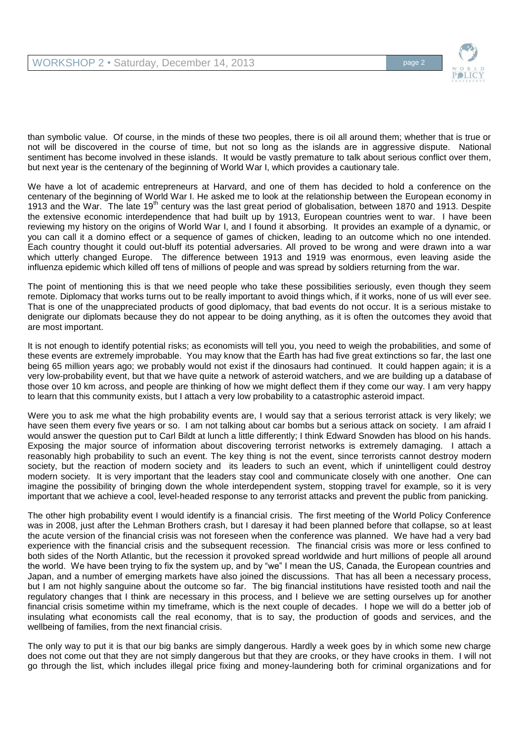

than symbolic value. Of course, in the minds of these two peoples, there is oil all around them; whether that is true or not will be discovered in the course of time, but not so long as the islands are in aggressive dispute. National sentiment has become involved in these islands. It would be vastly premature to talk about serious conflict over them, but next year is the centenary of the beginning of World War I, which provides a cautionary tale.

We have a lot of academic entrepreneurs at Harvard, and one of them has decided to hold a conference on the centenary of the beginning of World War I. He asked me to look at the relationship between the European economy in 1913 and the War. The late 19<sup>th</sup> century was the last great period of globalisation, between 1870 and 1913. Despite the extensive economic interdependence that had built up by 1913, European countries went to war. I have been reviewing my history on the origins of World War I, and I found it absorbing. It provides an example of a dynamic, or you can call it a domino effect or a sequence of games of chicken, leading to an outcome which no one intended. Each country thought it could out-bluff its potential adversaries. All proved to be wrong and were drawn into a war which utterly changed Europe. The difference between 1913 and 1919 was enormous, even leaving aside the influenza epidemic which killed off tens of millions of people and was spread by soldiers returning from the war.

The point of mentioning this is that we need people who take these possibilities seriously, even though they seem remote. Diplomacy that works turns out to be really important to avoid things which, if it works, none of us will ever see. That is one of the unappreciated products of good diplomacy, that bad events do not occur. It is a serious mistake to denigrate our diplomats because they do not appear to be doing anything, as it is often the outcomes they avoid that are most important.

It is not enough to identify potential risks; as economists will tell you, you need to weigh the probabilities, and some of these events are extremely improbable. You may know that the Earth has had five great extinctions so far, the last one being 65 million years ago; we probably would not exist if the dinosaurs had continued. It could happen again; it is a very low-probability event, but that we have quite a network of asteroid watchers, and we are building up a database of those over 10 km across, and people are thinking of how we might deflect them if they come our way. I am very happy to learn that this community exists, but I attach a very low probability to a catastrophic asteroid impact.

Were you to ask me what the high probability events are, I would say that a serious terrorist attack is very likely; we have seen them every five years or so. I am not talking about car bombs but a serious attack on society. I am afraid I would answer the question put to Carl Bildt at lunch a little differently; I think Edward Snowden has blood on his hands. Exposing the major source of information about discovering terrorist networks is extremely damaging. I attach a reasonably high probability to such an event. The key thing is not the event, since terrorists cannot destroy modern society, but the reaction of modern society and its leaders to such an event, which if unintelligent could destroy modern society. It is very important that the leaders stay cool and communicate closely with one another. One can imagine the possibility of bringing down the whole interdependent system, stopping travel for example, so it is very important that we achieve a cool, level-headed response to any terrorist attacks and prevent the public from panicking.

The other high probability event I would identify is a financial crisis. The first meeting of the World Policy Conference was in 2008, just after the Lehman Brothers crash, but I daresay it had been planned before that collapse, so at least the acute version of the financial crisis was not foreseen when the conference was planned. We have had a very bad experience with the financial crisis and the subsequent recession. The financial crisis was more or less confined to both sides of the North Atlantic, but the recession it provoked spread worldwide and hurt millions of people all around the world. We have been trying to fix the system up, and by "we" I mean the US, Canada, the European countries and Japan, and a number of emerging markets have also joined the discussions. That has all been a necessary process, but I am not highly sanguine about the outcome so far. The big financial institutions have resisted tooth and nail the regulatory changes that I think are necessary in this process, and I believe we are setting ourselves up for another financial crisis sometime within my timeframe, which is the next couple of decades. I hope we will do a better job of insulating what economists call the real economy, that is to say, the production of goods and services, and the wellbeing of families, from the next financial crisis.

The only way to put it is that our big banks are simply dangerous. Hardly a week goes by in which some new charge does not come out that they are not simply dangerous but that they are crooks, or they have crooks in them. I will not go through the list, which includes illegal price fixing and money-laundering both for criminal organizations and for